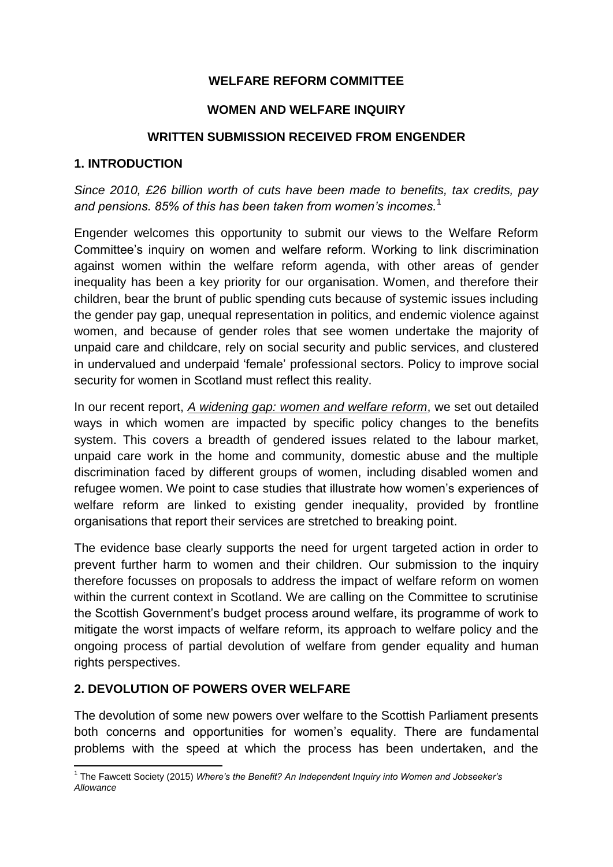## **WELFARE REFORM COMMITTEE**

#### **WOMEN AND WELFARE INQUIRY**

#### **WRITTEN SUBMISSION RECEIVED FROM ENGENDER**

#### **1. INTRODUCTION**

*Since 2010, £26 billion worth of cuts have been made to benefits, tax credits, pay and pensions. 85% of this has been taken from women's incomes.*<sup>1</sup>

Engender welcomes this opportunity to submit our views to the Welfare Reform Committee's inquiry on women and welfare reform. Working to link discrimination against women within the welfare reform agenda, with other areas of gender inequality has been a key priority for our organisation. Women, and therefore their children, bear the brunt of public spending cuts because of systemic issues including the gender pay gap, unequal representation in politics, and endemic violence against women, and because of gender roles that see women undertake the majority of unpaid care and childcare, rely on social security and public services, and clustered in undervalued and underpaid 'female' professional sectors. Policy to improve social security for women in Scotland must reflect this reality.

In our recent report, *[A widening gap: women and welfare reform](http://www.engender.org.uk/content/publications/A-Widening-Gap---Women-and-Welfare-Reform.pdf)*, we set out detailed ways in which women are impacted by specific policy changes to the benefits system. This covers a breadth of gendered issues related to the labour market, unpaid care work in the home and community, domestic abuse and the multiple discrimination faced by different groups of women, including disabled women and refugee women. We point to case studies that illustrate how women's experiences of welfare reform are linked to existing gender inequality, provided by frontline organisations that report their services are stretched to breaking point.

The evidence base clearly supports the need for urgent targeted action in order to prevent further harm to women and their children. Our submission to the inquiry therefore focusses on proposals to address the impact of welfare reform on women within the current context in Scotland. We are calling on the Committee to scrutinise the Scottish Government's budget process around welfare, its programme of work to mitigate the worst impacts of welfare reform, its approach to welfare policy and the ongoing process of partial devolution of welfare from gender equality and human rights perspectives.

#### **2. DEVOLUTION OF POWERS OVER WELFARE**

The devolution of some new powers over welfare to the Scottish Parliament presents both concerns and opportunities for women's equality. There are fundamental problems with the speed at which the process has been undertaken, and the

 1 The Fawcett Society (2015) *Where's the Benefit? An Independent Inquiry into Women and Jobseeker's Allowance*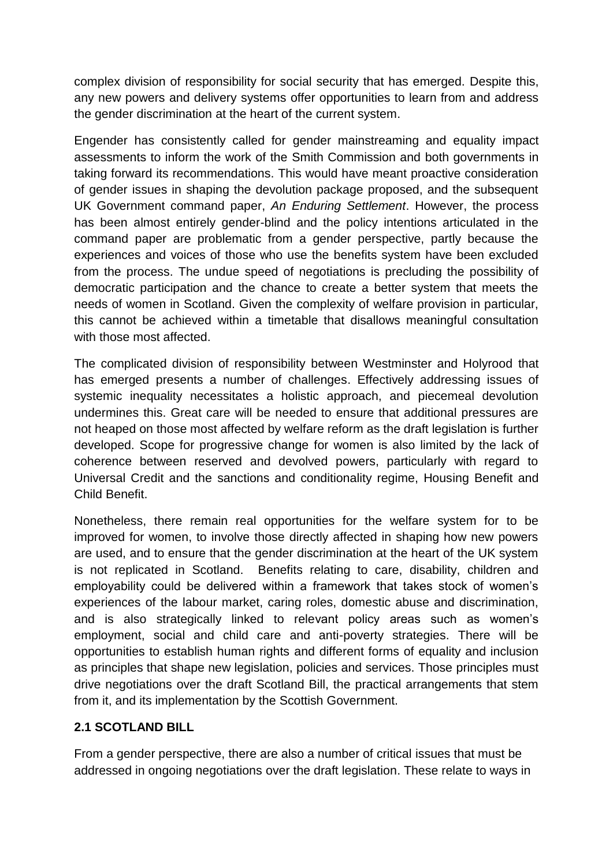complex division of responsibility for social security that has emerged. Despite this, any new powers and delivery systems offer opportunities to learn from and address the gender discrimination at the heart of the current system.

Engender has consistently called for gender mainstreaming and equality impact assessments to inform the work of the Smith Commission and both governments in taking forward its recommendations. This would have meant proactive consideration of gender issues in shaping the devolution package proposed, and the subsequent UK Government command paper, *An Enduring Settlement*. However, the process has been almost entirely gender-blind and the policy intentions articulated in the command paper are problematic from a gender perspective, partly because the experiences and voices of those who use the benefits system have been excluded from the process. The undue speed of negotiations is precluding the possibility of democratic participation and the chance to create a better system that meets the needs of women in Scotland. Given the complexity of welfare provision in particular, this cannot be achieved within a timetable that disallows meaningful consultation with those most affected.

The complicated division of responsibility between Westminster and Holyrood that has emerged presents a number of challenges. Effectively addressing issues of systemic inequality necessitates a holistic approach, and piecemeal devolution undermines this. Great care will be needed to ensure that additional pressures are not heaped on those most affected by welfare reform as the draft legislation is further developed. Scope for progressive change for women is also limited by the lack of coherence between reserved and devolved powers, particularly with regard to Universal Credit and the sanctions and conditionality regime, Housing Benefit and Child Benefit.

Nonetheless, there remain real opportunities for the welfare system for to be improved for women, to involve those directly affected in shaping how new powers are used, and to ensure that the gender discrimination at the heart of the UK system is not replicated in Scotland. Benefits relating to care, disability, children and employability could be delivered within a framework that takes stock of women's experiences of the labour market, caring roles, domestic abuse and discrimination, and is also strategically linked to relevant policy areas such as women's employment, social and child care and anti-poverty strategies. There will be opportunities to establish human rights and different forms of equality and inclusion as principles that shape new legislation, policies and services. Those principles must drive negotiations over the draft Scotland Bill, the practical arrangements that stem from it, and its implementation by the Scottish Government.

## **2.1 SCOTLAND BILL**

From a gender perspective, there are also a number of critical issues that must be addressed in ongoing negotiations over the draft legislation. These relate to ways in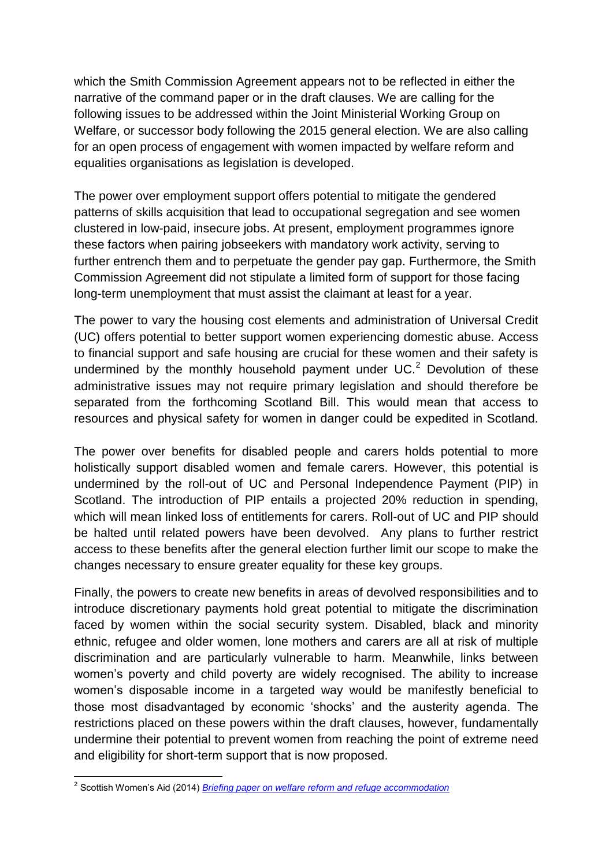which the Smith Commission Agreement appears not to be reflected in either the narrative of the command paper or in the draft clauses. We are calling for the following issues to be addressed within the Joint Ministerial Working Group on Welfare, or successor body following the 2015 general election. We are also calling for an open process of engagement with women impacted by welfare reform and equalities organisations as legislation is developed.

The power over employment support offers potential to mitigate the gendered patterns of skills acquisition that lead to occupational segregation and see women clustered in low-paid, insecure jobs. At present, employment programmes ignore these factors when pairing jobseekers with mandatory work activity, serving to further entrench them and to perpetuate the gender pay gap. Furthermore, the Smith Commission Agreement did not stipulate a limited form of support for those facing long-term unemployment that must assist the claimant at least for a year.

The power to vary the housing cost elements and administration of Universal Credit (UC) offers potential to better support women experiencing domestic abuse. Access to financial support and safe housing are crucial for these women and their safety is undermined by the monthly household payment under  $UC<sup>2</sup>$  Devolution of these administrative issues may not require primary legislation and should therefore be separated from the forthcoming Scotland Bill. This would mean that access to resources and physical safety for women in danger could be expedited in Scotland.

The power over benefits for disabled people and carers holds potential to more holistically support disabled women and female carers. However, this potential is undermined by the roll-out of UC and Personal Independence Payment (PIP) in Scotland. The introduction of PIP entails a projected 20% reduction in spending, which will mean linked loss of entitlements for carers. Roll-out of UC and PIP should be halted until related powers have been devolved. Any plans to further restrict access to these benefits after the general election further limit our scope to make the changes necessary to ensure greater equality for these key groups.

Finally, the powers to create new benefits in areas of devolved responsibilities and to introduce discretionary payments hold great potential to mitigate the discrimination faced by women within the social security system. Disabled, black and minority ethnic, refugee and older women, lone mothers and carers are all at risk of multiple discrimination and are particularly vulnerable to harm. Meanwhile, links between women's poverty and child poverty are widely recognised. The ability to increase women's disposable income in a targeted way would be manifestly beneficial to those most disadvantaged by economic 'shocks' and the austerity agenda. The restrictions placed on these powers within the draft clauses, however, fundamentally undermine their potential to prevent women from reaching the point of extreme need and eligibility for short-term support that is now proposed.

 2 Scottish Women's Aid (2014) *[Briefing paper on welfare reform and refuge accommodation](http://www.scottishwomensaid.org.uk/publications-resources/resource/briefing-paper-welfare-reform-and-refuge-accommodation?back=node%2F6%3Ffilter%5B1%5D%3D1%26filter%5B2%5D%3D2%26filter%5B3%5D%3D3%26filter%5B4%5D%3D4%26filter%5B5%5D%3D5%26sort%3Ddate-desc)*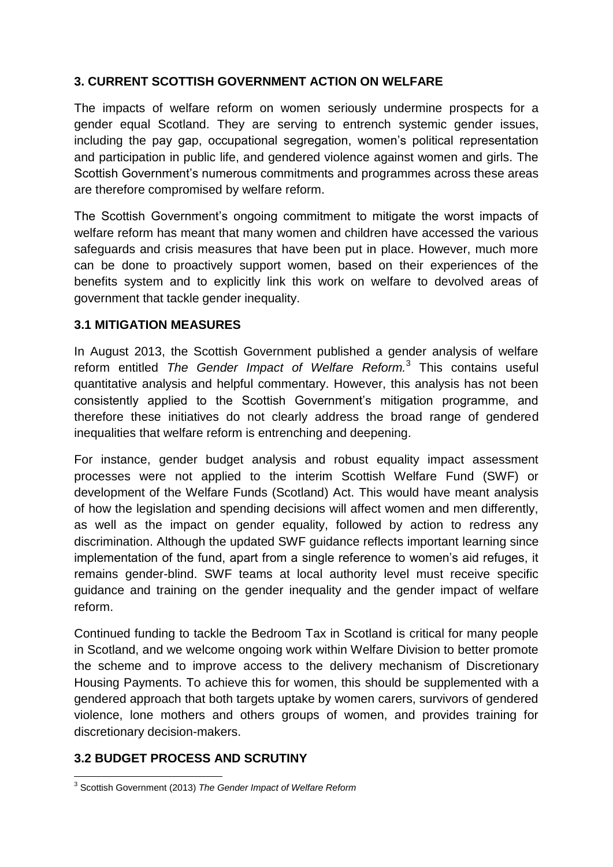## **3. CURRENT SCOTTISH GOVERNMENT ACTION ON WELFARE**

The impacts of welfare reform on women seriously undermine prospects for a gender equal Scotland. They are serving to entrench systemic gender issues, including the pay gap, occupational segregation, women's political representation and participation in public life, and gendered violence against women and girls. The Scottish Government's numerous commitments and programmes across these areas are therefore compromised by welfare reform.

The Scottish Government's ongoing commitment to mitigate the worst impacts of welfare reform has meant that many women and children have accessed the various safeguards and crisis measures that have been put in place. However, much more can be done to proactively support women, based on their experiences of the benefits system and to explicitly link this work on welfare to devolved areas of government that tackle gender inequality.

## **3.1 MITIGATION MEASURES**

In August 2013, the Scottish Government published a gender analysis of welfare reform entitled *The Gender Impact of Welfare Reform.*<sup>3</sup> This contains useful quantitative analysis and helpful commentary. However, this analysis has not been consistently applied to the Scottish Government's mitigation programme, and therefore these initiatives do not clearly address the broad range of gendered inequalities that welfare reform is entrenching and deepening.

For instance, gender budget analysis and robust equality impact assessment processes were not applied to the interim Scottish Welfare Fund (SWF) or development of the Welfare Funds (Scotland) Act. This would have meant analysis of how the legislation and spending decisions will affect women and men differently, as well as the impact on gender equality, followed by action to redress any discrimination. Although the updated SWF guidance reflects important learning since implementation of the fund, apart from a single reference to women's aid refuges, it remains gender-blind. SWF teams at local authority level must receive specific guidance and training on the gender inequality and the gender impact of welfare reform.

Continued funding to tackle the Bedroom Tax in Scotland is critical for many people in Scotland, and we welcome ongoing work within Welfare Division to better promote the scheme and to improve access to the delivery mechanism of Discretionary Housing Payments. To achieve this for women, this should be supplemented with a gendered approach that both targets uptake by women carers, survivors of gendered violence, lone mothers and others groups of women, and provides training for discretionary decision-makers.

## **3.2 BUDGET PROCESS AND SCRUTINY**

 3 Scottish Government (2013) *The Gender Impact of Welfare Reform*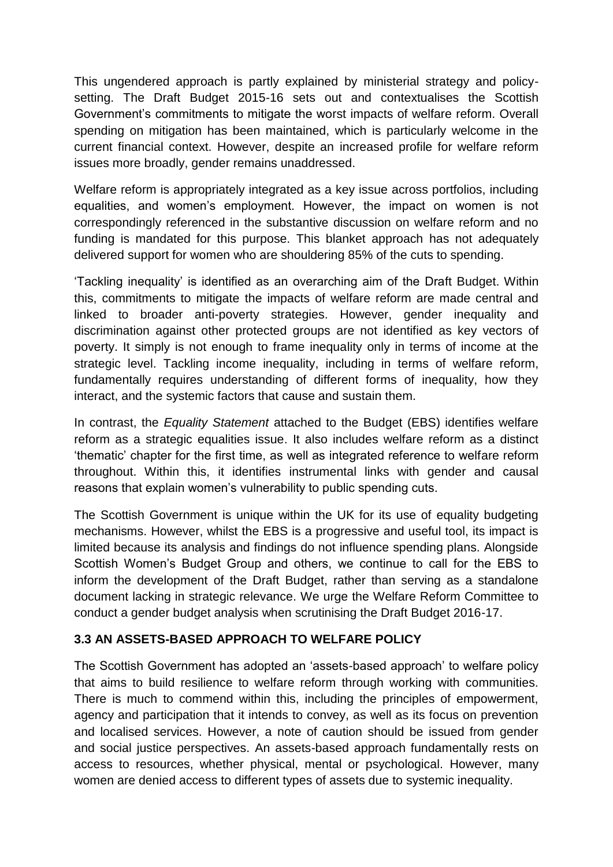This ungendered approach is partly explained by ministerial strategy and policysetting. The Draft Budget 2015-16 sets out and contextualises the Scottish Government's commitments to mitigate the worst impacts of welfare reform. Overall spending on mitigation has been maintained, which is particularly welcome in the current financial context. However, despite an increased profile for welfare reform issues more broadly, gender remains unaddressed.

Welfare reform is appropriately integrated as a key issue across portfolios, including equalities, and women's employment. However, the impact on women is not correspondingly referenced in the substantive discussion on welfare reform and no funding is mandated for this purpose. This blanket approach has not adequately delivered support for women who are shouldering 85% of the cuts to spending.

'Tackling inequality' is identified as an overarching aim of the Draft Budget. Within this, commitments to mitigate the impacts of welfare reform are made central and linked to broader anti-poverty strategies. However, gender inequality and discrimination against other protected groups are not identified as key vectors of poverty. It simply is not enough to frame inequality only in terms of income at the strategic level. Tackling income inequality, including in terms of welfare reform, fundamentally requires understanding of different forms of inequality, how they interact, and the systemic factors that cause and sustain them.

In contrast, the *Equality Statement* attached to the Budget (EBS) identifies welfare reform as a strategic equalities issue. It also includes welfare reform as a distinct 'thematic' chapter for the first time, as well as integrated reference to welfare reform throughout. Within this, it identifies instrumental links with gender and causal reasons that explain women's vulnerability to public spending cuts.

The Scottish Government is unique within the UK for its use of equality budgeting mechanisms. However, whilst the EBS is a progressive and useful tool, its impact is limited because its analysis and findings do not influence spending plans. Alongside Scottish Women's Budget Group and others, we continue to call for the EBS to inform the development of the Draft Budget, rather than serving as a standalone document lacking in strategic relevance. We urge the Welfare Reform Committee to conduct a gender budget analysis when scrutinising the Draft Budget 2016-17.

## **3.3 AN ASSETS-BASED APPROACH TO WELFARE POLICY**

The Scottish Government has adopted an 'assets-based approach' to welfare policy that aims to build resilience to welfare reform through working with communities. There is much to commend within this, including the principles of empowerment, agency and participation that it intends to convey, as well as its focus on prevention and localised services. However, a note of caution should be issued from gender and social justice perspectives. An assets-based approach fundamentally rests on access to resources, whether physical, mental or psychological. However, many women are denied access to different types of assets due to systemic inequality.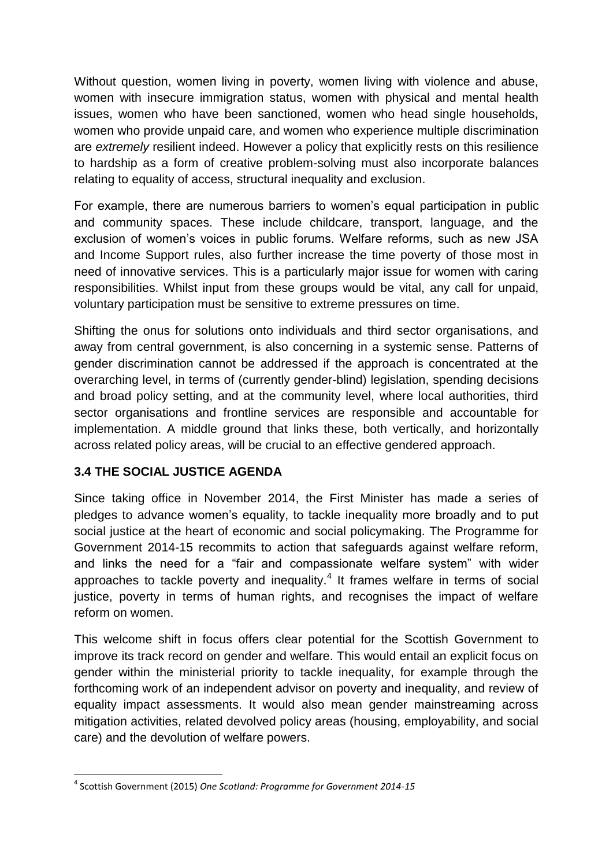Without question, women living in poverty, women living with violence and abuse, women with insecure immigration status, women with physical and mental health issues, women who have been sanctioned, women who head single households, women who provide unpaid care, and women who experience multiple discrimination are *extremely* resilient indeed. However a policy that explicitly rests on this resilience to hardship as a form of creative problem-solving must also incorporate balances relating to equality of access, structural inequality and exclusion.

For example, there are numerous barriers to women's equal participation in public and community spaces. These include childcare, transport, language, and the exclusion of women's voices in public forums. Welfare reforms, such as new JSA and Income Support rules, also further increase the time poverty of those most in need of innovative services. This is a particularly major issue for women with caring responsibilities. Whilst input from these groups would be vital, any call for unpaid, voluntary participation must be sensitive to extreme pressures on time.

Shifting the onus for solutions onto individuals and third sector organisations, and away from central government, is also concerning in a systemic sense. Patterns of gender discrimination cannot be addressed if the approach is concentrated at the overarching level, in terms of (currently gender-blind) legislation, spending decisions and broad policy setting, and at the community level, where local authorities, third sector organisations and frontline services are responsible and accountable for implementation. A middle ground that links these, both vertically, and horizontally across related policy areas, will be crucial to an effective gendered approach.

# **3.4 THE SOCIAL JUSTICE AGENDA**

Since taking office in November 2014, the First Minister has made a series of pledges to advance women's equality, to tackle inequality more broadly and to put social justice at the heart of economic and social policymaking. The Programme for Government 2014-15 recommits to action that safeguards against welfare reform, and links the need for a "fair and compassionate welfare system" with wider approaches to tackle poverty and inequality. $4$  It frames welfare in terms of social justice, poverty in terms of human rights, and recognises the impact of welfare reform on women.

This welcome shift in focus offers clear potential for the Scottish Government to improve its track record on gender and welfare. This would entail an explicit focus on gender within the ministerial priority to tackle inequality, for example through the forthcoming work of an independent advisor on poverty and inequality, and review of equality impact assessments. It would also mean gender mainstreaming across mitigation activities, related devolved policy areas (housing, employability, and social care) and the devolution of welfare powers.

**<sup>.</sup>** 4 Scottish Government (2015) *One Scotland: Programme for Government 2014-15*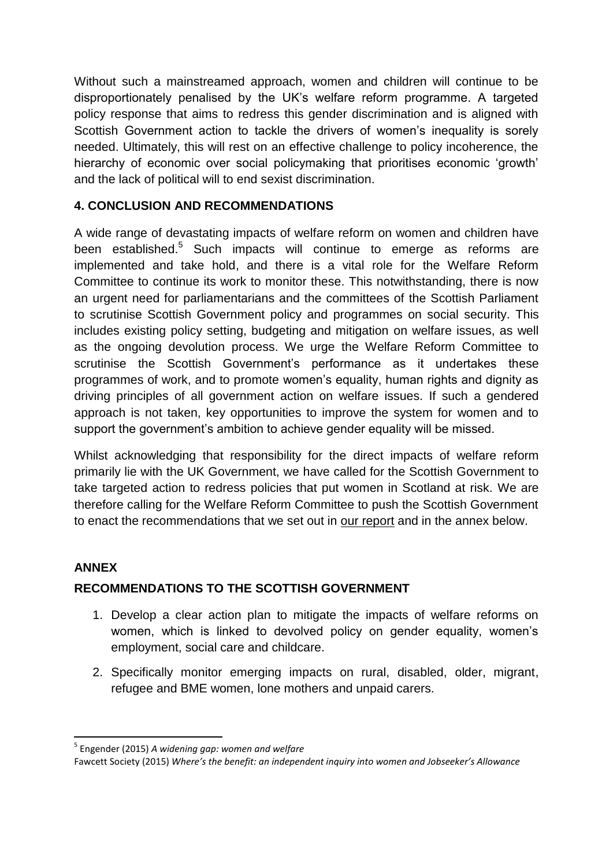Without such a mainstreamed approach, women and children will continue to be disproportionately penalised by the UK's welfare reform programme. A targeted policy response that aims to redress this gender discrimination and is aligned with Scottish Government action to tackle the drivers of women's inequality is sorely needed. Ultimately, this will rest on an effective challenge to policy incoherence, the hierarchy of economic over social policymaking that prioritises economic 'growth' and the lack of political will to end sexist discrimination.

## **4. CONCLUSION AND RECOMMENDATIONS**

A wide range of devastating impacts of welfare reform on women and children have been established.<sup>5</sup> Such impacts will continue to emerge as reforms are implemented and take hold, and there is a vital role for the Welfare Reform Committee to continue its work to monitor these. This notwithstanding, there is now an urgent need for parliamentarians and the committees of the Scottish Parliament to scrutinise Scottish Government policy and programmes on social security. This includes existing policy setting, budgeting and mitigation on welfare issues, as well as the ongoing devolution process. We urge the Welfare Reform Committee to scrutinise the Scottish Government's performance as it undertakes these programmes of work, and to promote women's equality, human rights and dignity as driving principles of all government action on welfare issues. If such a gendered approach is not taken, key opportunities to improve the system for women and to support the government's ambition to achieve gender equality will be missed.

Whilst acknowledging that responsibility for the direct impacts of welfare reform primarily lie with the UK Government, we have called for the Scottish Government to take targeted action to redress policies that put women in Scotland at risk. We are therefore calling for the Welfare Reform Committee to push the Scottish Government to enact the recommendations that we set out in [our report](http://www.engender.org.uk/content/publications/A-Widening-Gap---Women-and-Welfare-Reform.pdf) and in the annex below.

# **ANNEX**

**.** 

# **RECOMMENDATIONS TO THE SCOTTISH GOVERNMENT**

- 1. Develop a clear action plan to mitigate the impacts of welfare reforms on women, which is linked to devolved policy on gender equality, women's employment, social care and childcare.
- 2. Specifically monitor emerging impacts on rural, disabled, older, migrant, refugee and BME women, lone mothers and unpaid carers.

<sup>5</sup> Engender (2015) *A widening gap: women and welfare*

Fawcett Society (2015) *Where's the benefit: an independent inquiry into women and Jobseeker's Allowance*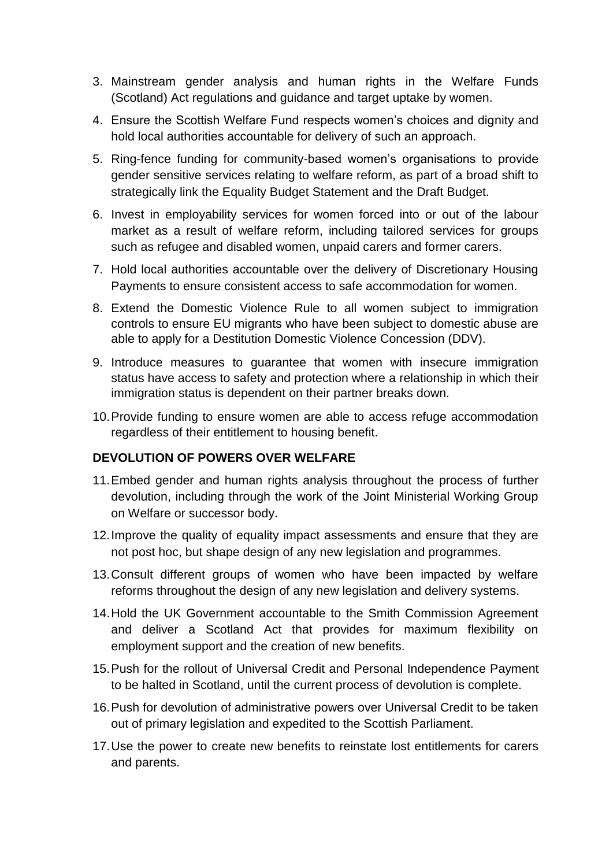- 3. Mainstream gender analysis and human rights in the Welfare Funds (Scotland) Act regulations and guidance and target uptake by women.
- 4. Ensure the Scottish Welfare Fund respects women's choices and dignity and hold local authorities accountable for delivery of such an approach.
- 5. Ring-fence funding for community-based women's organisations to provide gender sensitive services relating to welfare reform, as part of a broad shift to strategically link the Equality Budget Statement and the Draft Budget.
- 6. Invest in employability services for women forced into or out of the labour market as a result of welfare reform, including tailored services for groups such as refugee and disabled women, unpaid carers and former carers.
- 7. Hold local authorities accountable over the delivery of Discretionary Housing Payments to ensure consistent access to safe accommodation for women.
- 8. Extend the Domestic Violence Rule to all women subject to immigration controls to ensure EU migrants who have been subject to domestic abuse are able to apply for a Destitution Domestic Violence Concession (DDV).
- 9. Introduce measures to guarantee that women with insecure immigration status have access to safety and protection where a relationship in which their immigration status is dependent on their partner breaks down.
- 10.Provide funding to ensure women are able to access refuge accommodation regardless of their entitlement to housing benefit.

## **DEVOLUTION OF POWERS OVER WELFARE**

- 11.Embed gender and human rights analysis throughout the process of further devolution, including through the work of the Joint Ministerial Working Group on Welfare or successor body.
- 12.Improve the quality of equality impact assessments and ensure that they are not post hoc, but shape design of any new legislation and programmes.
- 13.Consult different groups of women who have been impacted by welfare reforms throughout the design of any new legislation and delivery systems.
- 14.Hold the UK Government accountable to the Smith Commission Agreement and deliver a Scotland Act that provides for maximum flexibility on employment support and the creation of new benefits.
- 15.Push for the rollout of Universal Credit and Personal Independence Payment to be halted in Scotland, until the current process of devolution is complete.
- 16.Push for devolution of administrative powers over Universal Credit to be taken out of primary legislation and expedited to the Scottish Parliament.
- 17.Use the power to create new benefits to reinstate lost entitlements for carers and parents.